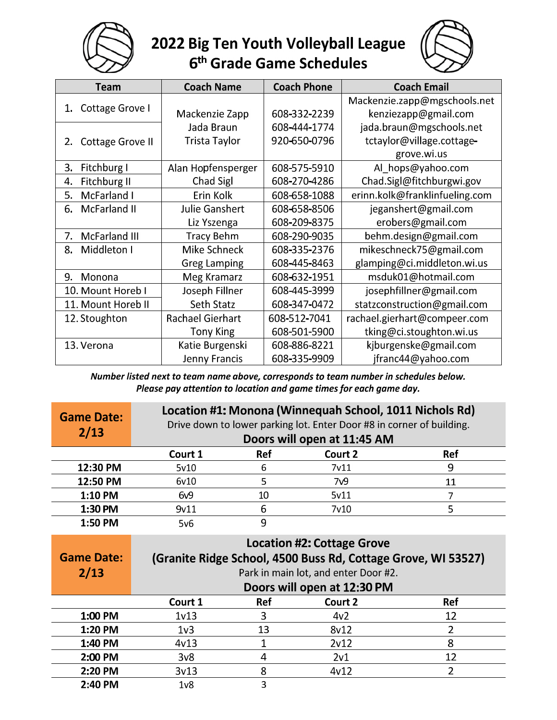

## 2022 Big Ten Youth Volleyball League<br>6<sup>th</sup> Grade Game Schedules



| Team                          | <b>Coach Name</b>       | <b>Coach Phone</b> | <b>Coach Email</b>             |
|-------------------------------|-------------------------|--------------------|--------------------------------|
|                               |                         |                    | Mackenzie.zapp@mgschools.net   |
| Cottage Grove I<br>1.         | Mackenzie Zapp          | 608-332-2239       | kenziezapp@gmail.com           |
|                               | Jada Braun              | 608-444-1774       | jada.braun@mgschools.net       |
| <b>Cottage Grove II</b><br>2. | Trista Taylor           | 920-650-0796       | tctaylor@village.cottage-      |
|                               |                         |                    | grove.wi.us                    |
| Fitchburg I<br>3.             | Alan Hopfensperger      | 608-575-5910       | Al_hops@yahoo.com              |
| Fitchburg II<br>4.            | Chad Sigl               | 608-270-4286       | Chad.Sigl@fitchburgwi.gov      |
| McFarland I<br>5.             | Erin Kolk               | 608-658-1088       | erinn.kolk@franklinfueling.com |
| <b>McFarland II</b><br>6.     | <b>Julie Ganshert</b>   | 608-658-8506       | jeganshert@gmail.com           |
|                               | Liz Yszenga             | 608-209-8375       | erobers@gmail.com              |
| 7.<br><b>McFarland III</b>    | <b>Tracy Behm</b>       | 608-290-9035       | behm.design@gmail.com          |
| 8.<br>Middleton I             | Mike Schneck            | 608-335-2376       | mikeschneck75@gmail.com        |
|                               | <b>Greg Lamping</b>     | 608-445-8463       | glamping@ci.middleton.wi.us    |
| Monona<br>9.                  | Meg Kramarz             | 608-632-1951       | msduk01@hotmail.com            |
| 10. Mount Horeb I             | Joseph Fillner          | 608-445-3999       | josephfillner@gmail.com        |
| 11. Mount Horeb II            | Seth Statz              | 608-347-0472       | statzconstruction@gmail.com    |
| 12. Stoughton                 | <b>Rachael Gierhart</b> | 608-512-7041       | rachael.gierhart@compeer.com   |
|                               | <b>Tony King</b>        | 608-501-5900       | tking@ci.stoughton.wi.us       |
| 13. Verona                    | Katie Burgenski         | 608-886-8221       | kjburgenske@gmail.com          |
|                               | Jenny Francis           | 608-335-9909       | jfranc44@yahoo.com             |

Number listed next to team name above, corresponds to team number in schedules below. Please pay attention to location and game times for each game day.

| <b>Game Date:</b><br>2/13 | Location #1: Monona (Winnequah School, 1011 Nichols Rd)<br>Drive down to lower parking lot. Enter Door #8 in corner of building.<br>Doors will open at 11:45 AM |            |                   |            |  |  |
|---------------------------|-----------------------------------------------------------------------------------------------------------------------------------------------------------------|------------|-------------------|------------|--|--|
|                           | Court 1                                                                                                                                                         | <b>Ref</b> | Court 2           | <b>Ref</b> |  |  |
| 12:30 PM                  | 5v10                                                                                                                                                            | 6          | 7 <sub>v</sub> 11 | 9          |  |  |
| 12:50 PM                  | 6v10                                                                                                                                                            |            | 7 <sub>v9</sub>   | 11         |  |  |
| 1:10 PM                   | 6v9                                                                                                                                                             | 10         | 5v11              |            |  |  |
| 1:30 PM                   | 9v11                                                                                                                                                            | 6          | 7v10              | 5          |  |  |
| 1:50 PM                   | 5v6                                                                                                                                                             | 9          |                   |            |  |  |

| <b>Game Date:</b><br>2/13 | Location #2: Cottage Grove<br>(Granite Ridge School, 4500 Buss Rd, Cottage Grove, WI 53527)<br>Park in main lot, and enter Door #2. |            |                             |            |  |  |
|---------------------------|-------------------------------------------------------------------------------------------------------------------------------------|------------|-----------------------------|------------|--|--|
|                           |                                                                                                                                     |            | Doors will open at 12:30 PM |            |  |  |
|                           | Court 1                                                                                                                             | <b>Ref</b> | Court 2                     | <b>Ref</b> |  |  |
| 1:00 PM                   | 1 <sub>v</sub> 13                                                                                                                   | 3          | 4v <sub>2</sub>             | 12         |  |  |
| 1:20 PM                   | 1 <sub>v3</sub>                                                                                                                     | 13         | 8v12                        |            |  |  |
| 1:40 PM                   | 4v13                                                                                                                                |            | 2v12                        | 8          |  |  |
| 2:00 PM                   | 3v8                                                                                                                                 |            | 2v1                         | 12         |  |  |
| 2:20 PM                   | 3v13                                                                                                                                | 8          | 4v12                        |            |  |  |
| 2:40 PM                   | 1 <sub>v</sub>                                                                                                                      | 3          |                             |            |  |  |
|                           |                                                                                                                                     |            |                             |            |  |  |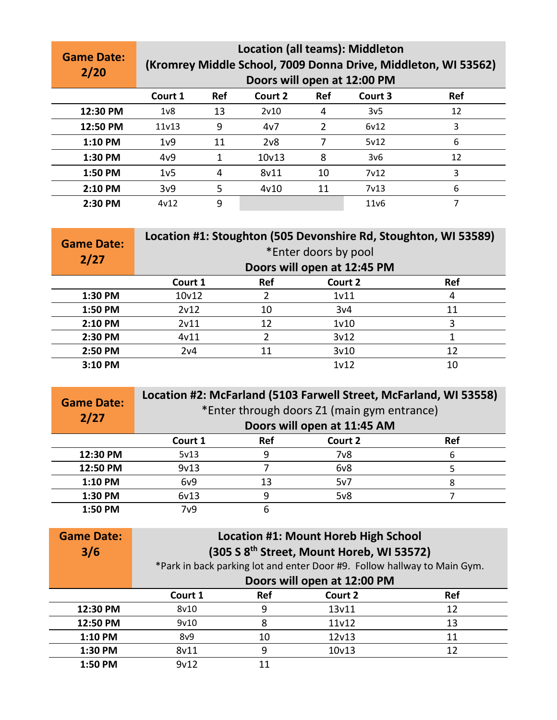| <b>Game Date:</b><br>2/20 | <b>Location (all teams): Middleton</b><br>(Kromrey Middle School, 7009 Donna Drive, Middleton, WI 53562)<br>Doors will open at 12:00 PM |            |                    |            |                   |            |
|---------------------------|-----------------------------------------------------------------------------------------------------------------------------------------|------------|--------------------|------------|-------------------|------------|
|                           | Court 1                                                                                                                                 | <b>Ref</b> | Court 2            | <b>Ref</b> | Court 3           | <b>Ref</b> |
| 12:30 PM                  | 1 <sub>v</sub>                                                                                                                          | 13         | 2v10               | 4          | 3v <sub>5</sub>   | 12         |
| 12:50 PM                  | 11 <sub>v</sub> 13                                                                                                                      | 9          | 4v7                | 2          | 6v12              | 3          |
| $1:10$ PM                 | 1 <sub>v</sub> 9                                                                                                                        | 11         | 2 <sub>v</sub> 8   |            | 5v12              | 6          |
| 1:30 PM                   | 4v9                                                                                                                                     |            | 10 <sub>v</sub> 13 | 8          | 3v6               | 12         |
| 1:50 PM                   | 1 <sub>v</sub> 5                                                                                                                        | 4          | 8v11               | 10         | 7 <sub>v</sub> 12 | 3          |
| $2:10$ PM                 | 3v9                                                                                                                                     | 5          | 4v10               | 11         | 7 <sub>v</sub> 13 | 6          |
| $2:30$ PM                 | 4v12                                                                                                                                    | 9          |                    |            | 11 <sub>v</sub> 6 |            |

| <b>Game Date:</b><br>2/27 | Location #1: Stoughton (505 Devonshire Rd, Stoughton, WI 53589)<br>*Enter doors by pool<br>Doors will open at 12:45 PM |            |                   |            |  |
|---------------------------|------------------------------------------------------------------------------------------------------------------------|------------|-------------------|------------|--|
|                           | Court 1                                                                                                                | <b>Ref</b> | Court 2           | <b>Ref</b> |  |
| 1:30 PM                   | 10v12                                                                                                                  | າ          | 1 <sub>v11</sub>  | 4          |  |
| 1:50 PM                   | 2v12                                                                                                                   | 10         | 3v4               | 11         |  |
| 2:10 PM                   | 2v11                                                                                                                   | 12         | 1 <sub>v</sub> 10 | 3          |  |
| 2:30 PM                   | 4v11                                                                                                                   | າ          | 3v12              |            |  |
| 2:50 PM                   | 2v4                                                                                                                    | 11         | 3v10              | 12         |  |
| 3:10 PM                   |                                                                                                                        |            | 1v12              | 10         |  |

| <b>Game Date:</b><br>2/27 | Location #2: McFarland (5103 Farwell Street, McFarland, WI 53558)<br>*Enter through doors Z1 (main gym entrance)<br>Doors will open at 11:45 AM |            |                  |            |  |  |
|---------------------------|-------------------------------------------------------------------------------------------------------------------------------------------------|------------|------------------|------------|--|--|
|                           | Court 1                                                                                                                                         | <b>Ref</b> | Court 2          | <b>Ref</b> |  |  |
| 12:30 PM                  | 5v13                                                                                                                                            |            | $7v$ 8           | 6          |  |  |
| 12:50 PM                  | 9v13                                                                                                                                            |            | 6 <sub>v</sub> 8 |            |  |  |
| 1:10 PM                   | 6v9                                                                                                                                             | 13         | 5v7              | 8          |  |  |
| 1:30 PM                   | 6v13                                                                                                                                            |            | 5v8              |            |  |  |
| 1:50 PM                   | 7 <sub>v</sub> 9                                                                                                                                | ь          |                  |            |  |  |

| <b>Game Date:</b><br>3/6 | <b>Location #1: Mount Horeb High School</b><br>(305 S 8 <sup>th</sup> Street, Mount Horeb, WI 53572)<br>*Park in back parking lot and enter Door #9. Follow hallway to Main Gym.<br>Doors will open at 12:00 PM |     |                    |            |  |
|--------------------------|-----------------------------------------------------------------------------------------------------------------------------------------------------------------------------------------------------------------|-----|--------------------|------------|--|
|                          | Court 1                                                                                                                                                                                                         | Ref | Court 2            | <b>Ref</b> |  |
| 12:30 PM                 | 8v10                                                                                                                                                                                                            | 9   | 13v11              | 12         |  |
| 12:50 PM                 | 9v10                                                                                                                                                                                                            | 8   | 11v12              | 13         |  |
| 1:10 PM                  | 8v9                                                                                                                                                                                                             | 10  | 12v13              | 11         |  |
| 1:30 PM                  | 8v11                                                                                                                                                                                                            | 9   | 10 <sub>v</sub> 13 | 12         |  |
| 1:50 PM                  | 9v12                                                                                                                                                                                                            | 11  |                    |            |  |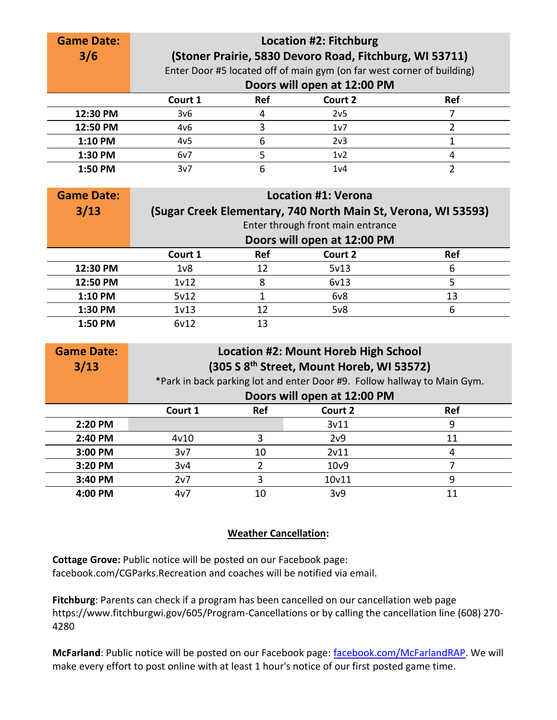| <b>Game Date:</b><br>3/6 | <b>Location #2: Fitchburg</b><br>(Stoner Prairie, 5830 Devoro Road, Fitchburg, WI 53711)<br>Enter Door #5 located off of main gym (on far west corner of building)<br>Doors will open at 12:00 PM |            |                  |            |  |
|--------------------------|---------------------------------------------------------------------------------------------------------------------------------------------------------------------------------------------------|------------|------------------|------------|--|
|                          | Court 1                                                                                                                                                                                           | <b>Ref</b> | Court 2          | <b>Ref</b> |  |
| 12:30 PM                 | 3v6                                                                                                                                                                                               | 4          | 2v <sub>5</sub>  |            |  |
| 12:50 PM                 | 4v6                                                                                                                                                                                               | ੨          | 1v7              |            |  |
| 1:10 PM                  | 4v <sub>5</sub>                                                                                                                                                                                   | 6          | 2 <sub>v3</sub>  |            |  |
| 1:30 PM                  | 6v7                                                                                                                                                                                               |            | 1 <sub>v</sub> 2 |            |  |
| 1:50 PM                  | 3v7                                                                                                                                                                                               | 6          | 1 <sub>v4</sub>  |            |  |

| <b>Game Date:</b><br>3/13 | <b>Location #1: Verona</b><br>(Sugar Creek Elementary, 740 North Main St, Verona, WI 53593)<br>Enter through front main entrance |     |                             |            |  |
|---------------------------|----------------------------------------------------------------------------------------------------------------------------------|-----|-----------------------------|------------|--|
|                           |                                                                                                                                  |     | Doors will open at 12:00 PM |            |  |
|                           | Court 1                                                                                                                          | Ref | Court 2                     | <b>Ref</b> |  |
| 12:30 PM                  | 1 <sub>v</sub>                                                                                                                   | 12  | 5v13                        | 6          |  |
| 12:50 PM                  | 1v12                                                                                                                             | 8   | 6v13                        | 5          |  |
| 1:10 PM                   | 5v12                                                                                                                             |     | 6v8                         | 13         |  |
| 1:30 PM                   | 1 <sub>v</sub> 13                                                                                                                | 12  | 5v8                         | 6          |  |
| 1:50 PM                   | 6v12                                                                                                                             | 13  |                             |            |  |

| <b>Game Date:</b><br>3/13 | <b>Location #2: Mount Horeb High School</b><br>(305 S 8 <sup>th</sup> Street, Mount Horeb, WI 53572)<br>*Park in back parking lot and enter Door #9. Follow hallway to Main Gym. |            |                             |            |  |  |
|---------------------------|----------------------------------------------------------------------------------------------------------------------------------------------------------------------------------|------------|-----------------------------|------------|--|--|
|                           |                                                                                                                                                                                  |            | Doors will open at 12:00 PM |            |  |  |
|                           | Court 1                                                                                                                                                                          | <b>Ref</b> | Court 2                     | <b>Ref</b> |  |  |
| 2:20 PM                   |                                                                                                                                                                                  |            | 3v11                        | 9          |  |  |
| 2:40 PM                   | 4v10                                                                                                                                                                             | 3          | 2v9                         | 11         |  |  |
| 3:00 PM                   | 3v7                                                                                                                                                                              | 10         | 2v11                        | 4          |  |  |
| 3:20 PM                   | 3v <sub>4</sub>                                                                                                                                                                  | 2          | 10 <sub>v</sub> 9           |            |  |  |
| 3:40 PM                   | 2v7                                                                                                                                                                              | 3          | 10v11                       | 9          |  |  |
| 4:00 PM                   | 4v7                                                                                                                                                                              | 10         | 3v9                         | 11         |  |  |

## **Weather Cancellation:**

Cottage Grove: Public notice will be posted on our Facebook page: facebook.com/CGParks.Recreation and coaches will be notified via email.

Fitchburg: Parents can check if a program has been cancelled on our cancellation web page https://www.fitchburgwi.gov/605/Program-Cancellations or by calling the cancellation line (608) 270-4280

McFarland: Public notice will be posted on our Facebook page: facebook.com/McFarlandRAP. We will make every effort to post online with at least 1 hour's notice of our first posted game time.